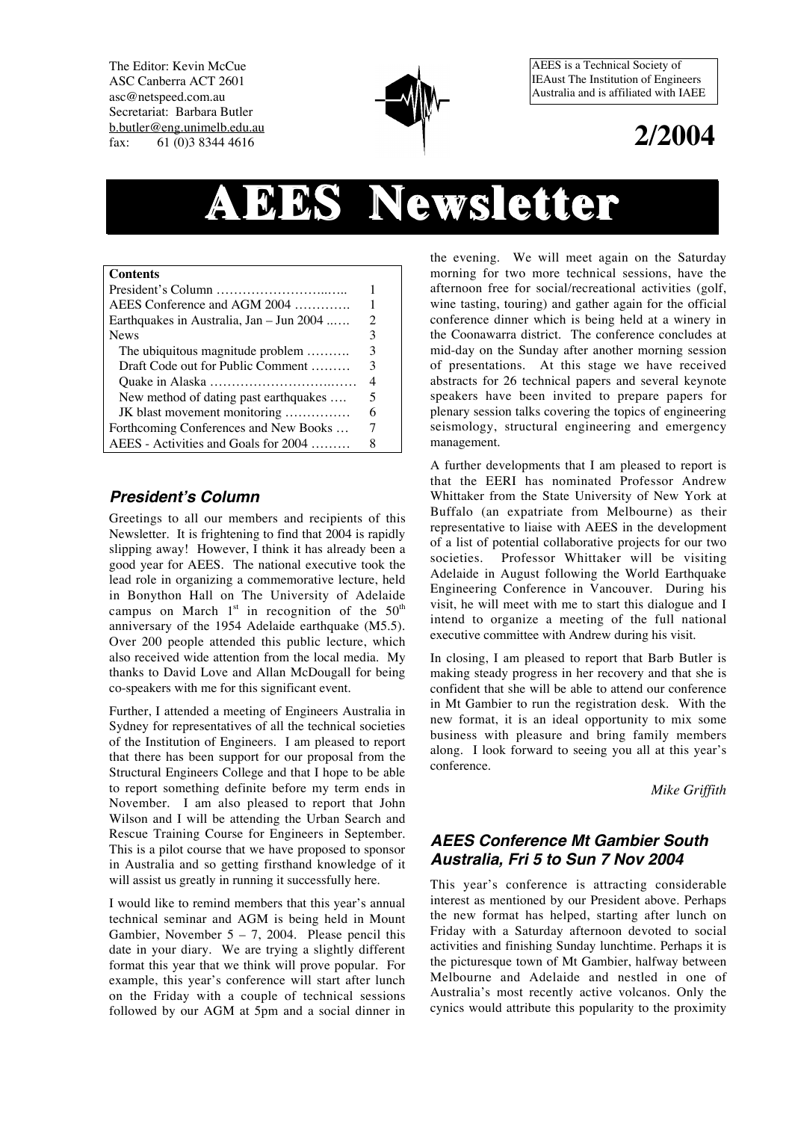The Editor: Kevin McCue ASC Canberra ACT 2601 asc@netspeed.com.au Secretariat: Barbara Butler b.butler@eng.unimelb.edu.au fax: 61 (0)3 8344 4616



AEES is a Technical Society of IEAust The Institution of Engineers Australia and is affiliated with IAEE

# **2/2004**

# **AEES Newsletter Newsletter**

| <b>Contents</b>                          |   |
|------------------------------------------|---|
|                                          |   |
| AEES Conference and AGM 2004             |   |
| Earthquakes in Australia, Jan - Jun 2004 | 2 |
| <b>News</b>                              | 3 |
| The ubiquitous magnitude problem         | 3 |
| Draft Code out for Public Comment        | 3 |
|                                          | 4 |
| New method of dating past earthquakes    | 5 |
| JK blast movement monitoring             | 6 |
| Forthcoming Conferences and New Books    |   |
| AEES - Activities and Goals for 2004     |   |

# **President's Column**

Greetings to all our members and recipients of this Newsletter. It is frightening to find that 2004 is rapidly slipping away! However, I think it has already been a good year for AEES. The national executive took the lead role in organizing a commemorative lecture, held in Bonython Hall on The University of Adelaide campus on March  $1<sup>st</sup>$  in recognition of the  $50<sup>th</sup>$ anniversary of the 1954 Adelaide earthquake (M5.5). Over 200 people attended this public lecture, which also received wide attention from the local media. My thanks to David Love and Allan McDougall for being co-speakers with me for this significant event.

Further, I attended a meeting of Engineers Australia in Sydney for representatives of all the technical societies of the Institution of Engineers. I am pleased to report that there has been support for our proposal from the Structural Engineers College and that I hope to be able to report something definite before my term ends in November. I am also pleased to report that John Wilson and I will be attending the Urban Search and Rescue Training Course for Engineers in September. This is a pilot course that we have proposed to sponsor in Australia and so getting firsthand knowledge of it will assist us greatly in running it successfully here.

I would like to remind members that this year's annual technical seminar and AGM is being held in Mount Gambier, November  $5 - 7$ , 2004. Please pencil this date in your diary. We are trying a slightly different format this year that we think will prove popular. For example, this year's conference will start after lunch on the Friday with a couple of technical sessions followed by our AGM at 5pm and a social dinner in the evening. We will meet again on the Saturday morning for two more technical sessions, have the afternoon free for social/recreational activities (golf, wine tasting, touring) and gather again for the official conference dinner which is being held at a winery in the Coonawarra district. The conference concludes at mid-day on the Sunday after another morning session of presentations. At this stage we have received abstracts for 26 technical papers and several keynote speakers have been invited to prepare papers for plenary session talks covering the topics of engineering seismology, structural engineering and emergency management.

A further developments that I am pleased to report is that the EERI has nominated Professor Andrew Whittaker from the State University of New York at Buffalo (an expatriate from Melbourne) as their representative to liaise with AEES in the development of a list of potential collaborative projects for our two societies. Professor Whittaker will be visiting Adelaide in August following the World Earthquake Engineering Conference in Vancouver. During his visit, he will meet with me to start this dialogue and I intend to organize a meeting of the full national executive committee with Andrew during his visit.

In closing, I am pleased to report that Barb Butler is making steady progress in her recovery and that she is confident that she will be able to attend our conference in Mt Gambier to run the registration desk. With the new format, it is an ideal opportunity to mix some business with pleasure and bring family members along. I look forward to seeing you all at this year's conference.

*Mike Griffith*

# **AEES Conference Mt Gambier South Australia, Fri 5 to Sun 7 Nov 2004**

This year's conference is attracting considerable interest as mentioned by our President above. Perhaps the new format has helped, starting after lunch on Friday with a Saturday afternoon devoted to social activities and finishing Sunday lunchtime. Perhaps it is the picturesque town of Mt Gambier, halfway between Melbourne and Adelaide and nestled in one of Australia's most recently active volcanos. Only the cynics would attribute this popularity to the proximity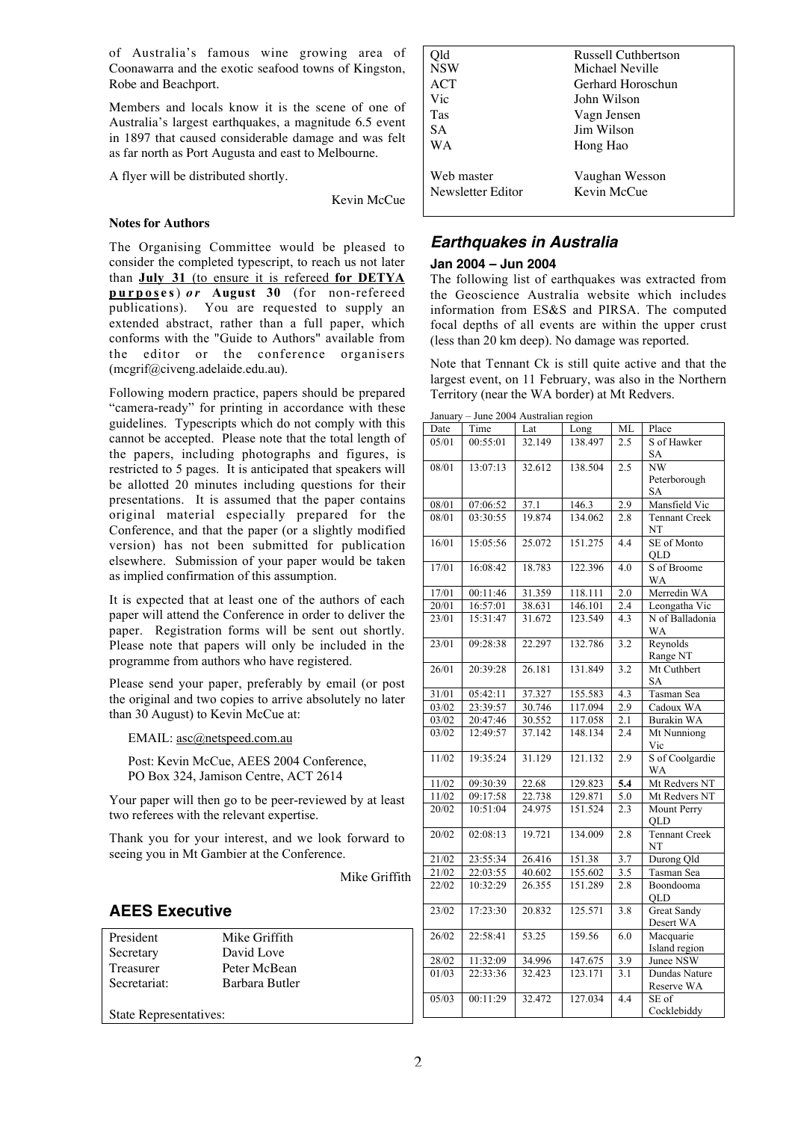of Australia's famous wine growing area of Coonawarra and the exotic seafood towns of Kingston, Robe and Beachport.

Members and locals know it is the scene of one of Australia's largest earthquakes, a magnitude 6.5 event in 1897 that caused considerable damage and was felt as far north as Port Augusta and east to Melbourne.

A flyer will be distributed shortly.

Kevin McCue

#### **Notes for Authors**

The Organising Committee would be pleased to consider the completed typescript, to reach us not later than **July 31** (to ensure it is refereed **for DETYA purposes**) *or* **August 30** (for non-refereed publications). You are requested to supply an extended abstract, rather than a full paper, which conforms with the "Guide to Authors" available from the editor or the conference organisers (mcgrif@civeng.adelaide.edu.au).

Following modern practice, papers should be prepared "camera-ready" for printing in accordance with these guidelines. Typescripts which do not comply with this cannot be accepted. Please note that the total length of the papers, including photographs and figures, is restricted to 5 pages. It is anticipated that speakers will be allotted 20 minutes including questions for their presentations. It is assumed that the paper contains original material especially prepared for the Conference, and that the paper (or a slightly modified version) has not been submitted for publication elsewhere. Submission of your paper would be taken as implied confirmation of this assumption.

It is expected that at least one of the authors of each paper will attend the Conference in order to deliver the paper. Registration forms will be sent out shortly. Please note that papers will only be included in the programme from authors who have registered.

Please send your paper, preferably by email (or post the original and two copies to arrive absolutely no later than 30 August) to Kevin McCue at:

EMAIL: asc@netspeed.com.au

Post: Kevin McCue, AEES 2004 Conference, PO Box 324, Jamison Centre, ACT 2614

Your paper will then go to be peer-reviewed by at least two referees with the relevant expertise.

Thank you for your interest, and we look forward to seeing you in Mt Gambier at the Conference.

Mike Griffith

# **AEES Executive**

| President              | Mike Griffith  |  |  |
|------------------------|----------------|--|--|
| Secretary              | David Love     |  |  |
| <b>Treasurer</b>       | Peter McBean   |  |  |
| Secretariat:           | Barbara Butler |  |  |
|                        |                |  |  |
| State Representatives: |                |  |  |

| Old<br><b>NSW</b><br>ACT<br>Vic<br>Tas<br>SА | <b>Russell Cuthbertson</b><br>Michael Neville<br>Gerhard Horoschun<br>John Wilson<br>Vagn Jensen<br>Jim Wilson |
|----------------------------------------------|----------------------------------------------------------------------------------------------------------------|
| WА                                           | Hong Hao                                                                                                       |
| Web master                                   | Vaughan Wesson                                                                                                 |
| Newsletter Editor                            | Kevin McCue                                                                                                    |
|                                              |                                                                                                                |

# **Earthquakes in Australia**

#### **Jan 2004 – Jun 2004**

The following list of earthquakes was extracted from the Geoscience Australia website which includes information from ES&S and PIRSA. The computed focal depths of all events are within the upper crust (less than 20 km deep). No damage was reported.

Note that Tennant Ck is still quite active and that the largest event, on 11 February, was also in the Northern Territory (near the WA border) at Mt Redvers.

| January - June 2004 Australian region |          |                    |         |                  |                                 |
|---------------------------------------|----------|--------------------|---------|------------------|---------------------------------|
| Date                                  | Time     | Lat                | Long    | МL               | Place                           |
| 05/01                                 | 00:55:01 | 32.149             | 138.497 | 2.5              | S of Hawker<br>SA               |
| 08/01                                 | 13:07:13 | 32.612             | 138.504 | 2.5              | NW<br>Peterborough              |
|                                       |          |                    |         |                  | <b>SA</b>                       |
| 08/01                                 | 07:06:52 | 37.1               | 146.3   | 2.9              | Mansfield Vic                   |
| 08/01                                 | 03:30:55 | 19.874             | 134.062 | 2.8              | Tennant Creek<br>NT             |
| 16/01                                 | 15:05:56 | 25.072             | 151.275 | 4.4              | SE of Monto<br>OLD              |
| 17/01                                 | 16:08:42 | 18.783             | 122.396 | 4.0              | S of Broome<br>WA               |
| 17/01                                 | 00:11:46 | 31.359             | 118.111 | 2.0              | Merredin WA                     |
| 20/01                                 | 16:57:01 | 38.631             | 146.101 | 2.4              | Leongatha Vic                   |
| 23/01                                 | 15:31:47 | 31.672             | 123.549 | $\overline{4.3}$ | N of Balladonia<br>WA           |
| 23/01                                 | 09:28:38 | 22.297             | 132.786 | 3.2              | Reynolds<br>Range NT            |
| 26/01                                 | 20:39:28 | 26.181             | 131.849 | 3.2              | Mt Cuthbert<br>SA               |
| 31/01                                 | 05:42:11 | 37.327             | 155.583 | 4.3              | Tasman Sea                      |
| 03/02                                 | 23:39:57 | 30.746             | 117.094 | $\overline{2.9}$ | Cadoux WA                       |
| 03/02                                 | 20:47:46 | 30.552             | 117.058 | 2.1              | <b>Burakin WA</b>               |
| 03/02                                 | 12:49:57 | 37.142             | 148.134 | 2.4              | Mt Nunniong                     |
|                                       |          |                    |         |                  | Vic                             |
| 11/02                                 | 19:35:24 | 31.129             | 121.132 | $\overline{2.9}$ | S of Coolgardie<br><b>WA</b>    |
| 11/02                                 | 09:30:39 | 22.68              | 129.823 | 5.4              | Mt Redvers NT                   |
| 11/02                                 | 09:17:58 | 22.738             | 129.871 | 5.0              | Mt Redvers NT                   |
| 20/02                                 | 10:51:04 | 24.975             | 151.524 | $2.\overline{3}$ | Mount Perry<br><b>OLD</b>       |
| 20/02                                 | 02:08:13 | 19.721             | 134.009 | 2.8              | <b>Tennant Creek</b><br>NT      |
| 21/02                                 | 23:55:34 | 26.416             | 151.38  | 3.7              | Durong Qld                      |
| 21/02                                 | 22:03:55 | 40.602             | 155.602 | 3.5              | Tasman Sea                      |
| 22/02                                 | 10:32:29 | 26.355             | 151.289 | 2.8              | Boondooma<br><b>OLD</b>         |
| 23/02                                 | 17:23:30 | 20.832             | 125.571 | 3.8              | <b>Great Sandy</b><br>Desert WA |
| 26/02                                 | 22:58:41 | $\overline{53.25}$ | 159.56  | 6.0              | Macquarie<br>Island region      |
| 28/02                                 | 11:32:09 | 34.996             | 147.675 | 3.9              | Junee NSW                       |
| 01/03                                 | 22:33:36 | 32.423             | 123.171 | 3.1              | Dundas Nature                   |
|                                       |          |                    |         |                  | Reserve WA                      |
| 05/03                                 | 00:11:29 | 32.472             | 127.034 | 4.4              | SE of<br>Cocklebiddy            |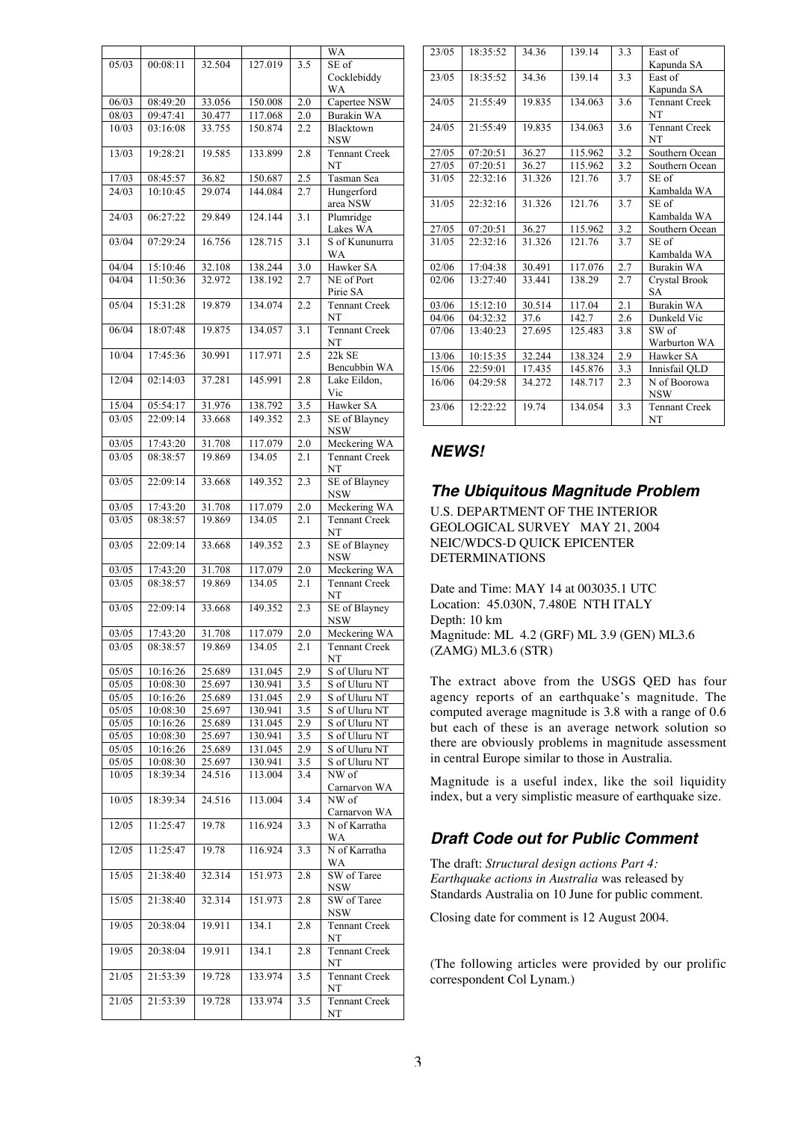|       |          |        |         |                  | WA                   |
|-------|----------|--------|---------|------------------|----------------------|
| 05/03 | 00:08:11 | 32.504 | 127.019 | 3.5              | SE of                |
|       |          |        |         |                  | Cocklebiddy          |
|       |          |        |         |                  | WA                   |
| 06/03 | 08:49:20 | 33.056 | 150.008 | 2.0              | Capertee NSW         |
| 08/03 |          | 30.477 | 117.068 | 2.0              | Burakin WA           |
|       | 09:47:41 |        | 150.874 |                  |                      |
| 10/03 | 03:16:08 | 33.755 |         | 2.2              | Blacktown            |
|       |          |        |         |                  | NSW                  |
| 13/03 | 19:28:21 | 19.585 | 133.899 | 2.8              | <b>Tennant Creek</b> |
|       |          |        |         |                  | NT                   |
| 17/03 | 08:45:57 | 36.82  | 150.687 | 2.5              | Tasman Sea           |
| 24/03 | 10:10:45 | 29.074 | 144.084 |                  |                      |
|       |          |        |         | 2.7              | Hungerford           |
|       |          |        |         |                  | area NSW             |
| 24/03 | 06:27:22 | 29.849 | 124.144 | 3.1              | Plumridge            |
|       |          |        |         |                  | Lakes WA             |
| 03/04 | 07:29:24 | 16.756 | 128.715 | 3.1              | S of Kununurra       |
|       |          |        |         |                  | WA                   |
| 04/04 | 15:10:46 | 32.108 | 138.244 | 3.0              | Hawker SA            |
|       |          |        |         |                  |                      |
| 04/04 | 11:50:36 | 32.972 | 138.192 | 2.7              | NE of Port           |
|       |          |        |         |                  | Pirie SA             |
| 05/04 | 15:31:28 | 19.879 | 134.074 | $\overline{2.2}$ | <b>Tennant Creek</b> |
|       |          |        |         |                  | NT                   |
| 06/04 | 18:07:48 | 19.875 | 134.057 | 3.1              | <b>Tennant Creek</b> |
|       |          |        |         |                  | NT                   |
|       |          |        |         |                  |                      |
| 10/04 | 17:45:36 | 30.991 | 117.971 | 2.5              | 22k SE               |
|       |          |        |         |                  | Bencubbin WA         |
| 12/04 | 02:14:03 | 37.281 | 145.991 | 2.8              | Lake Eildon,         |
|       |          |        |         |                  | Vic                  |
| 15/04 | 05:54:17 | 31.976 | 138.792 |                  | Hawker SA            |
|       |          |        | 149.352 | 3.5              |                      |
| 03/05 | 22:09:14 | 33.668 |         | 2.3              | SE of Blayney        |
|       |          |        |         |                  | <b>NSW</b>           |
| 03/05 | 17:43:20 | 31.708 | 117.079 | 2.0              | Meckering WA         |
| 03/05 | 08:38:57 | 19.869 | 134.05  | 2.1              | <b>Tennant Creek</b> |
|       |          |        |         |                  | NΤ                   |
| 03/05 | 22:09:14 | 33.668 | 149.352 | 2.3              | SE of Blayney        |
|       |          |        |         |                  |                      |
|       |          |        |         |                  | <b>NSW</b>           |
| 03/05 | 17:43:20 | 31.708 | 117.079 | 2.0              | Meckering WA         |
| 03/05 | 08:38:57 | 19.869 | 134.05  | 2.1              | <b>Tennant Creek</b> |
|       |          |        |         |                  | NT                   |
| 03/05 | 22:09:14 | 33.668 | 149.352 | 2.3              | SE of Blayney        |
|       |          |        |         |                  | <b>NSW</b>           |
|       |          |        |         |                  | Meckering WA         |
| 03/05 | 17:43:20 | 31.708 | 117.079 | 2.0              |                      |
| 03/05 | 08:38:57 | 19.869 | 134.05  | $\overline{2.1}$ | <b>Tennant Creek</b> |
|       |          |        |         |                  | NT                   |
| 03/05 | 22:09:14 | 33.668 | 149.352 | 2.3              | SE of Blayney        |
|       |          |        |         |                  | <b>NSW</b>           |
| 03/05 | 17:43:20 | 31.708 | 117.079 | 2.0              | Meckering WA         |
|       |          |        |         |                  |                      |
| 03/05 | 08:38:57 | 19.869 | 134.05  | 2.1              | <b>Tennant Creek</b> |
|       |          |        |         |                  | NT                   |
| 05/05 | 10:16:26 | 25.689 | 131.045 | 2.9              | S of Uluru NT        |
| 05/05 | 10:08:30 | 25.697 | 130.941 | 3.5              | S of Uluru NT        |
| 05/05 | 10:16:26 | 25.689 | 131.045 | 2.9              | S of Uluru NT        |
| 05/05 | 10:08:30 | 25.697 | 130.941 | 3.5              | S of Uluru NT        |
|       |          |        | 131.045 |                  |                      |
| 05/05 | 10:16:26 | 25.689 |         | 2.9              | S of Uluru NT        |
| 05/05 | 10:08:30 | 25.697 | 130.941 | 3.5              | S of Uluru NT        |
| 05/05 | 10:16:26 | 25.689 | 131.045 | 2.9              | S of Uluru NT        |
| 05/05 | 10:08:30 | 25.697 | 130.941 | 3.5              | S of Uluru NT        |
| 10/05 | 18:39:34 | 24.516 | 113.004 | 3.4              | NW of                |
|       |          |        |         |                  | Carnarvon WA         |
| 10/05 | 18:39:34 | 24.516 | 113.004 | 3.4              | NW of                |
|       |          |        |         |                  |                      |
|       |          |        |         |                  | Carnarvon WA         |
| 12/05 | 11:25:47 | 19.78  | 116.924 | 3.3              | N of Karratha        |
|       |          |        |         |                  | WA                   |
| 12/05 | 11:25:47 | 19.78  | 116.924 | 3.3              | N of Karratha        |
|       |          |        |         |                  | WA.                  |
| 15/05 | 21:38:40 | 32.314 | 151.973 | 2.8              | SW of Taree          |
|       |          |        |         |                  |                      |
|       |          |        |         |                  | NSW                  |
| 15/05 | 21:38:40 | 32.314 | 151.973 | 2.8              | SW of Taree          |
|       |          |        |         |                  | NSW                  |
| 19/05 | 20:38:04 | 19.911 | 134.1   | 2.8              | <b>Tennant Creek</b> |
|       |          |        |         |                  | NT                   |
| 19/05 | 20:38:04 | 19.911 | 134.1   | 2.8              | <b>Tennant Creek</b> |
|       |          |        |         |                  | NT                   |
|       |          |        |         |                  |                      |
| 21/05 | 21:53:39 | 19.728 | 133.974 | 3.5              | <b>Tennant Creek</b> |
|       |          |        |         |                  | NT                   |
| 21/05 | 21:53:39 | 19.728 | 133.974 | 3.5              | <b>Tennant Creek</b> |
|       |          |        |         |                  | NT                   |
|       |          |        |         |                  |                      |

| 23/05  | 18:35:52 | 34.36  | 139.14  | 3.3 | East of              |
|--------|----------|--------|---------|-----|----------------------|
|        |          |        |         |     | Kapunda SA           |
| 23/05  | 18:35:52 | 34.36  | 139.14  | 3.3 | East of              |
|        |          |        |         |     | Kapunda SA           |
| 24/0.5 | 21:55:49 | 19.835 | 134.063 | 3.6 | <b>Tennant Creek</b> |
|        |          |        |         |     | <b>NT</b>            |
| 24/05  | 21:55:49 | 19.835 | 134.063 | 3.6 | <b>Tennant Creek</b> |
|        |          |        |         |     | NT                   |
| 27/05  | 07:20:51 | 36.27  | 115.962 | 3.2 | Southern Ocean       |
| 27/05  | 07:20:51 | 36.27  | 115.962 | 3.2 | Southern Ocean       |
| 31/05  | 22:32:16 | 31.326 | 121.76  | 3.7 | SE of                |
|        |          |        |         |     | Kambalda WA          |
| 31/05  | 22:32:16 | 31.326 | 121.76  | 3.7 | SE of                |
|        |          |        |         |     | Kambalda WA          |
| 27/05  | 07:20:51 | 36.27  | 115.962 | 3.2 | Southern Ocean       |
| 31/05  | 22:32:16 | 31.326 | 121.76  | 3.7 | SE of                |
|        |          |        |         |     | Kambalda WA          |
| 02/06  | 17:04:38 | 30.491 | 117.076 | 2.7 | Burakin WA           |
| 02/06  | 13:27:40 | 33.441 | 138.29  | 2.7 | Crystal Brook        |
|        |          |        |         |     | <b>SA</b>            |
| 03/06  | 15:12:10 | 30.514 | 117.04  | 2.1 | <b>Burakin WA</b>    |
| 04/06  | 04:32:32 | 37.6   | 142.7   | 2.6 | Dunkeld Vic          |
| 07/06  | 13:40:23 | 27.695 | 125.483 | 3.8 | SW of                |
|        |          |        |         |     | Warburton WA         |
| 13/06  | 10:15:35 | 32.244 | 138.324 | 2.9 | Hawker SA            |
| 15/06  | 22:59:01 | 17.435 | 145.876 | 3.3 | Innisfail OLD        |
| 16/06  | 04:29:58 | 34.272 | 148.717 | 2.3 | N of Boorowa         |
|        |          |        |         |     | <b>NSW</b>           |
| 23/06  | 12:22:22 | 19.74  | 134.054 | 3.3 | <b>Tennant Creek</b> |
|        |          |        |         |     | NT                   |

# **NEWS!**

# **The Ubiquitous Magnitude Problem**

U.S. DEPARTMENT OF THE INTERIOR GEOLOGICAL SURVEY MAY 21, 2004 NEIC/WDCS-D QUICK EPICENTER DETERMINATIONS

Date and Time: MAY 14 at 003035.1 UTC Location: 45.030N, 7.480E NTH ITALY Depth: 10 km Magnitude: ML 4.2 (GRF) ML 3.9 (GEN) ML3.6 (ZAMG) ML3.6 (STR)

The extract above from the USGS QED has four agency reports of an earthquake's magnitude. The computed average magnitude is 3.8 with a range of 0.6 but each of these is an average network solution so there are obviously problems in magnitude assessment in central Europe similar to those in Australia.

Magnitude is a useful index, like the soil liquidity index, but a very simplistic measure of earthquake size.

# **Draft Code out for Public Comment**

The draft: *Structural design actions Part 4: Earthquake actions in Australia* was released by Standards Australia on 10 June for public comment.

Closing date for comment is 12 August 2004.

(The following articles were provided by our prolific correspondent Col Lynam.)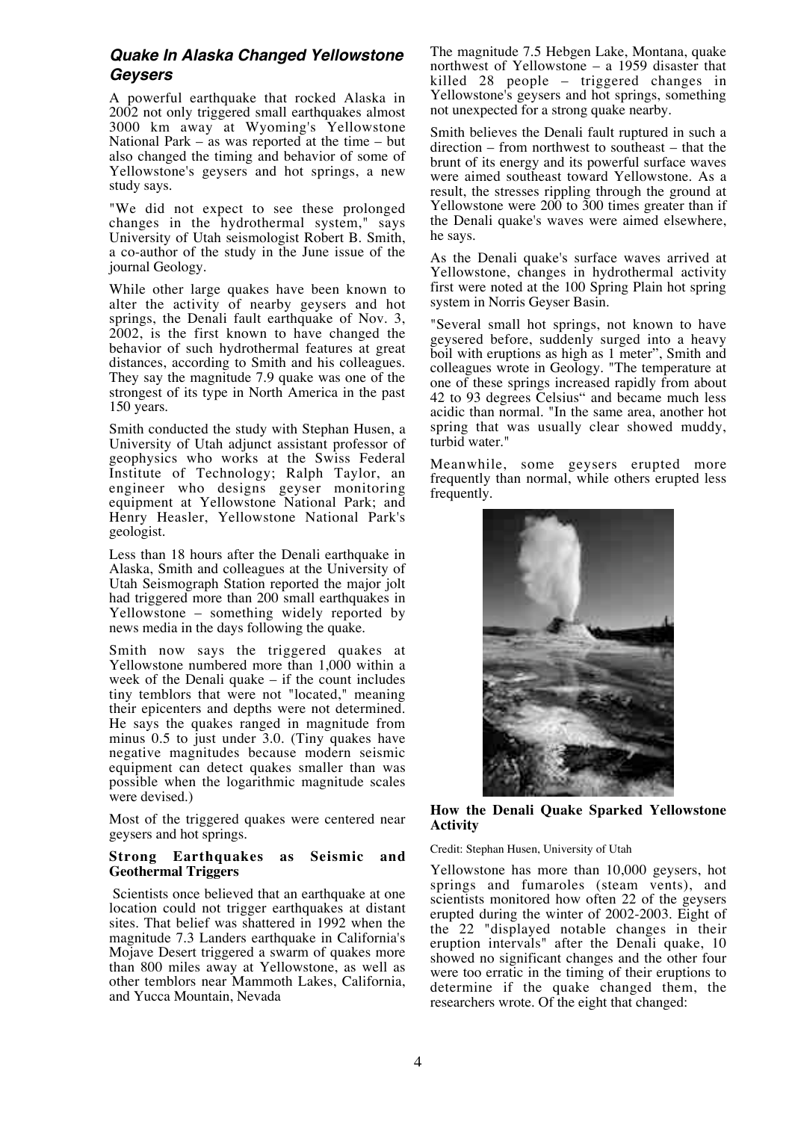# **Quake In Alaska Changed Yellowstone Geysers**

A powerful earthquake that rocked Alaska in 2002 not only triggered small earthquakes almost 3000 km away at Wyoming's Yellowstone National Park – as was reported at the time – but also changed the timing and behavior of some of Yellowstone's geysers and hot springs, a new study says.

"We did not expect to see these prolonged changes in the hydrothermal system," says University of Utah seismologist Robert B. Smith, a co-author of the study in the June issue of the journal Geology.

While other large quakes have been known to alter the activity of nearby geysers and hot springs, the Denali fault earthquake of Nov. 3, 2002, is the first known to have changed the behavior of such hydrothermal features at great distances, according to Smith and his colleagues. They say the magnitude 7.9 quake was one of the strongest of its type in North America in the past 150 years.

Smith conducted the study with Stephan Husen, a University of Utah adjunct assistant professor of geophysics who works at the Swiss Federal Institute of Technology; Ralph Taylor, an engineer who designs geyser monitoring equipment at Yellowstone National Park; and Henry Heasler, Yellowstone National Park's geologist.

Less than 18 hours after the Denali earthquake in Alaska, Smith and colleagues at the University of Utah Seismograph Station reported the major jolt had triggered more than 200 small earthquakes in Yellowstone – something widely reported by news media in the days following the quake.

Smith now says the triggered quakes at Yellowstone numbered more than 1,000 within a week of the Denali quake – if the count includes tiny temblors that were not "located," meaning their epicenters and depths were not determined. He says the quakes ranged in magnitude from minus 0.5 to just under 3.0. (Tiny quakes have negative magnitudes because modern seismic equipment can detect quakes smaller than was possible when the logarithmic magnitude scales were devised.)

Most of the triggered quakes were centered near geysers and hot springs.

#### **Strong Earthquakes as Seismic and Geothermal Triggers**

Scientists once believed that an earthquake at one location could not trigger earthquakes at distant sites. That belief was shattered in 1992 when the magnitude 7.3 Landers earthquake in California's Mojave Desert triggered a swarm of quakes more than 800 miles away at Yellowstone, as well as other temblors near Mammoth Lakes, California, and Yucca Mountain, Nevada

The magnitude 7.5 Hebgen Lake, Montana, quake northwest of Yellowstone – a 1959 disaster that killed 28 people – triggered changes in Yellowstone's geysers and hot springs, something not unexpected for a strong quake nearby.

Smith believes the Denali fault ruptured in such a direction – from northwest to southeast – that the brunt of its energy and its powerful surface waves were aimed southeast toward Yellowstone. As a result, the stresses rippling through the ground at Yellowstone were  $200$  to  $300$  times greater than if the Denali quake's waves were aimed elsewhere, he says.

As the Denali quake's surface waves arrived at Yellowstone, changes in hydrothermal activity first were noted at the 100 Spring Plain hot spring system in Norris Geyser Basin.

"Several small hot springs, not known to have geysered before, suddenly surged into a heavy boil with eruptions as high as 1 meter", Smith and colleagues wrote in Geology. "The temperature at one of these springs increased rapidly from about 42 to 93 degrees Celsius" and became much less acidic than normal. "In the same area, another hot spring that was usually clear showed muddy, turbid water."

Meanwhile, some geysers erupted more frequently than normal, while others erupted less frequently.



#### **How the Denali Quake Sparked Yellowstone Activity**

Credit: Stephan Husen, University of Utah

Yellowstone has more than 10,000 geysers, hot springs and fumaroles (steam vents), and scientists monitored how often 22 of the geysers erupted during the winter of 2002-2003. Eight of the 22 "displayed notable changes in their eruption intervals" after the Denali quake, 10 showed no significant changes and the other four were too erratic in the timing of their eruptions to determine if the quake changed them, the researchers wrote. Of the eight that changed: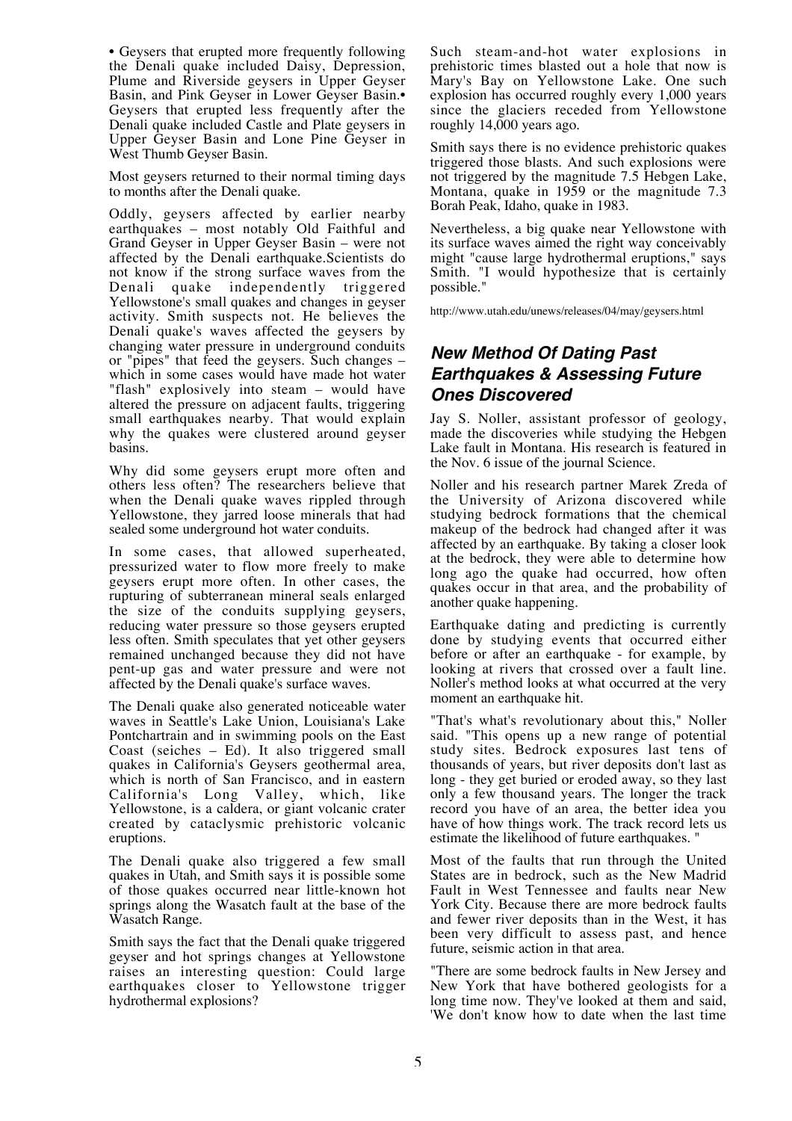• Geysers that erupted more frequently following the Denali quake included Daisy, Depression, Plume and Riverside geysers in Upper Geyser Basin, and Pink Geyser in Lower Geyser Basin.• Geysers that erupted less frequently after the Denali quake included Castle and Plate geysers in Upper Geyser Basin and Lone Pine Geyser in West Thumb Geyser Basin.

Most geysers returned to their normal timing days to months after the Denali quake.

Oddly, geysers affected by earlier nearby earthquakes – most notably Old Faithful and Grand Geyser in Upper Geyser Basin – were not affected by the Denali earthquake.Scientists do not know if the strong surface waves from the Denali quake independently triggered Yellowstone's small quakes and changes in geyser activity. Smith suspects not. He believes the Denali quake's waves affected the geysers by changing water pressure in underground conduits or "pipes" that feed the geysers. Such changes – which in some cases would have made hot water "flash" explosively into steam – would have altered the pressure on adjacent faults, triggering small earthquakes nearby. That would explain why the quakes were clustered around geyser basins.

Why did some geysers erupt more often and others less often? The researchers believe that when the Denali quake waves rippled through Yellowstone, they jarred loose minerals that had sealed some underground hot water conduits.

In some cases, that allowed superheated, pressurized water to flow more freely to make geysers erupt more often. In other cases, the rupturing of subterranean mineral seals enlarged the size of the conduits supplying geysers, reducing water pressure so those geysers erupted less often. Smith speculates that yet other geysers remained unchanged because they did not have pent-up gas and water pressure and were not affected by the Denali quake's surface waves.

The Denali quake also generated noticeable water waves in Seattle's Lake Union, Louisiana's Lake Pontchartrain and in swimming pools on the East Coast (seiches – Ed). It also triggered small quakes in California's Geysers geothermal area, which is north of San Francisco, and in eastern California's Long Valley, which, like Yellowstone, is a caldera, or giant volcanic crater created by cataclysmic prehistoric volcanic eruptions.

The Denali quake also triggered a few small quakes in Utah, and Smith says it is possible some of those quakes occurred near little-known hot springs along the Wasatch fault at the base of the Wasatch Range.

Smith says the fact that the Denali quake triggered geyser and hot springs changes at Yellowstone raises an interesting question: Could large earthquakes closer to Yellowstone trigger hydrothermal explosions?

Such steam-and-hot water explosions in prehistoric times blasted out a hole that now is Mary's Bay on Yellowstone Lake. One such explosion has occurred roughly every 1,000 years since the glaciers receded from Yellowstone roughly  $14,000$  years ago.

Smith says there is no evidence prehistoric quakes triggered those blasts. And such explosions were not triggered by the magnitude 7.5 Hebgen Lake, Montana, quake in 1959 or the magnitude 7.3 Borah Peak, Idaho, quake in 1983.

Nevertheless, a big quake near Yellowstone with its surface waves aimed the right way conceivably might "cause large hydrothermal eruptions," says Smith. "I would hypothesize that is certainly possible."

http://www.utah.edu/unews/releases/04/may/geysers.html

# **New Method Of Dating Past Earthquakes & Assessing Future Ones Discovered**

Jay S. Noller, assistant professor of geology, made the discoveries while studying the Hebgen Lake fault in Montana. His research is featured in the Nov. 6 issue of the journal Science.

Noller and his research partner Marek Zreda of the University of Arizona discovered while studying bedrock formations that the chemical makeup of the bedrock had changed after it was affected by an earthquake. By taking a closer look at the bedrock, they were able to determine how long ago the quake had occurred, how often quakes occur in that area, and the probability of another quake happening.

Earthquake dating and predicting is currently done by studying events that occurred either before or after an earthquake - for example, by looking at rivers that crossed over a fault line. Noller's method looks at what occurred at the very moment an earthquake hit.

"That's what's revolutionary about this," Noller said. "This opens up a new range of potential study sites. Bedrock exposures last tens of thousands of years, but river deposits don't last as long - they get buried or eroded away, so they last only a few thousand years. The longer the track record you have of an area, the better idea you have of how things work. The track record lets us estimate the likelihood of future earthquakes. "

Most of the faults that run through the United States are in bedrock, such as the New Madrid Fault in West Tennessee and faults near New York City. Because there are more bedrock faults and fewer river deposits than in the West, it has been very difficult to assess past, and hence future, seismic action in that area.

"There are some bedrock faults in New Jersey and New York that have bothered geologists for a long time now. They've looked at them and said, 'We don't know how to date when the last time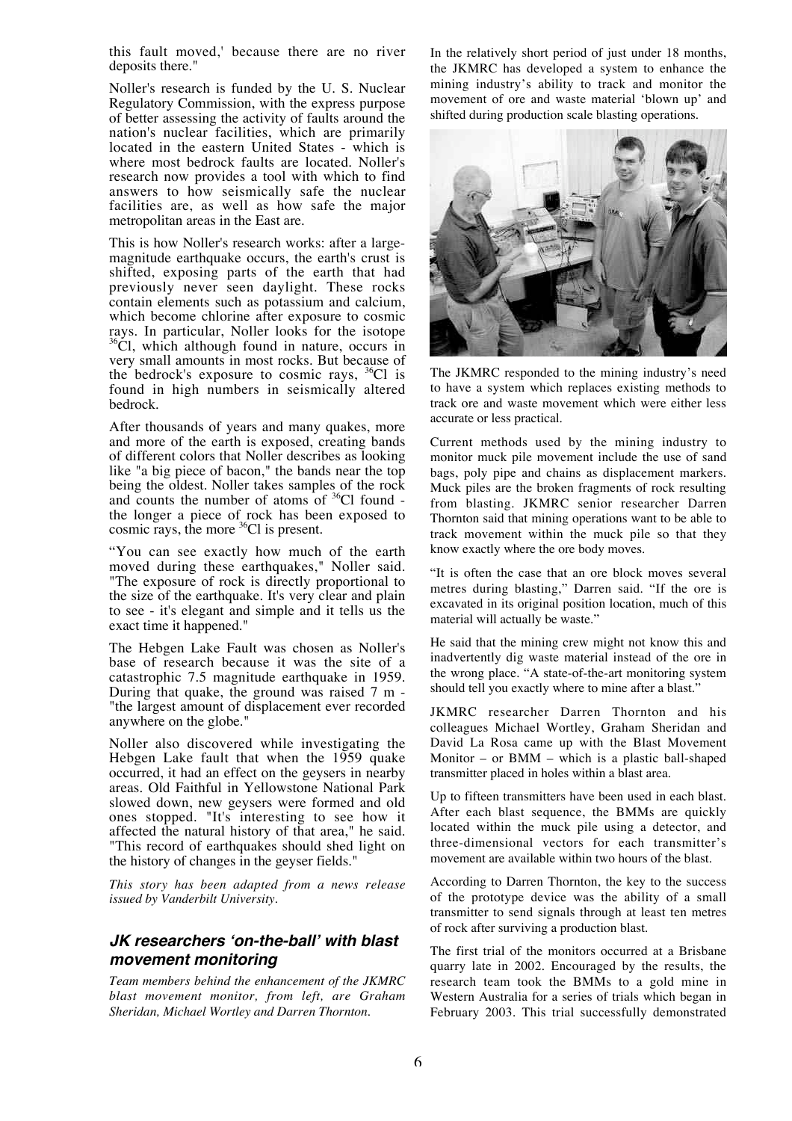this fault moved,' because there are no river deposits there."

Noller's research is funded by the U. S. Nuclear Regulatory Commission, with the express purpose of better assessing the activity of faults around the nation's nuclear facilities, which are primarily located in the eastern United States - which is where most bedrock faults are located. Noller's research now provides a tool with which to find answers to how seismically safe the nuclear facilities are, as well as how safe the major metropolitan areas in the East are.

This is how Noller's research works: after a largemagnitude earthquake occurs, the earth's crust is shifted, exposing parts of the earth that had previously never seen daylight. These rocks contain elements such as potassium and calcium, which become chlorine after exposure to cosmic<br>rays. In particular, Noller looks for the isotope  $36\text{C}$ l, which although found in nature, occurs in very small amounts in most rocks. But because of the bedrock's exposure to cosmic rays,  ${}^{36}Cl$  is found in high numbers in seismically altered bedrock.

After thousands of years and many quakes, more and more of the earth is exposed, creating bands of different colors that Noller describes as looking like "a big piece of bacon," the bands near the top being the oldest. Noller takes samples of the rock and counts the number of atoms of  $36^{\circ}$ Cl found the longer a piece of rock has been exposed to cosmic rays, the more  ${}^{36}$ Cl is present.

"You can see exactly how much of the earth moved during these earthquakes," Noller said. "The exposure of rock is directly proportional to the size of the earthquake. It's very clear and plain to see - it's elegant and simple and it tells us the exact time it happened."

The Hebgen Lake Fault was chosen as Noller's base of research because it was the site of a catastrophic 7.5 magnitude earthquake in 1959. During that quake, the ground was raised 7 m - "the largest amount of displacement ever recorded anywhere on the globe."

Noller also discovered while investigating the Hebgen Lake fault that when the 1959 quake occurred, it had an effect on the geysers in nearby areas. Old Faithful in Yellowstone National Park slowed down, new geysers were formed and old ones stopped. "It's interesting to see how it affected the natural history of that area," he said. "This record of earthquakes should shed light on the history of changes in the geyser fields."

*This story has been adapted from a news release issued by Vanderbilt University.*

# **JK researchers 'on-the-ball' with blast movement monitoring**

*Team members behind the enhancement of the JKMRC blast movement monitor, from left, are Graham Sheridan, Michael Wortley and Darren Thornton.*

In the relatively short period of just under 18 months, the JKMRC has developed a system to enhance the mining industry's ability to track and monitor the movement of ore and waste material 'blown up' and shifted during production scale blasting operations.



The JKMRC responded to the mining industry's need to have a system which replaces existing methods to track ore and waste movement which were either less accurate or less practical.

Current methods used by the mining industry to monitor muck pile movement include the use of sand bags, poly pipe and chains as displacement markers. Muck piles are the broken fragments of rock resulting from blasting. JKMRC senior researcher Darren Thornton said that mining operations want to be able to track movement within the muck pile so that they know exactly where the ore body moves.

"It is often the case that an ore block moves several metres during blasting," Darren said. "If the ore is excavated in its original position location, much of this material will actually be waste."

He said that the mining crew might not know this and inadvertently dig waste material instead of the ore in the wrong place. "A state-of-the-art monitoring system should tell you exactly where to mine after a blast."

JKMRC researcher Darren Thornton and his colleagues Michael Wortley, Graham Sheridan and David La Rosa came up with the Blast Movement Monitor – or BMM – which is a plastic ball-shaped transmitter placed in holes within a blast area.

Up to fifteen transmitters have been used in each blast. After each blast sequence, the BMMs are quickly located within the muck pile using a detector, and three-dimensional vectors for each transmitter's movement are available within two hours of the blast.

According to Darren Thornton, the key to the success of the prototype device was the ability of a small transmitter to send signals through at least ten metres of rock after surviving a production blast.

The first trial of the monitors occurred at a Brisbane quarry late in 2002. Encouraged by the results, the research team took the BMMs to a gold mine in Western Australia for a series of trials which began in February 2003. This trial successfully demonstrated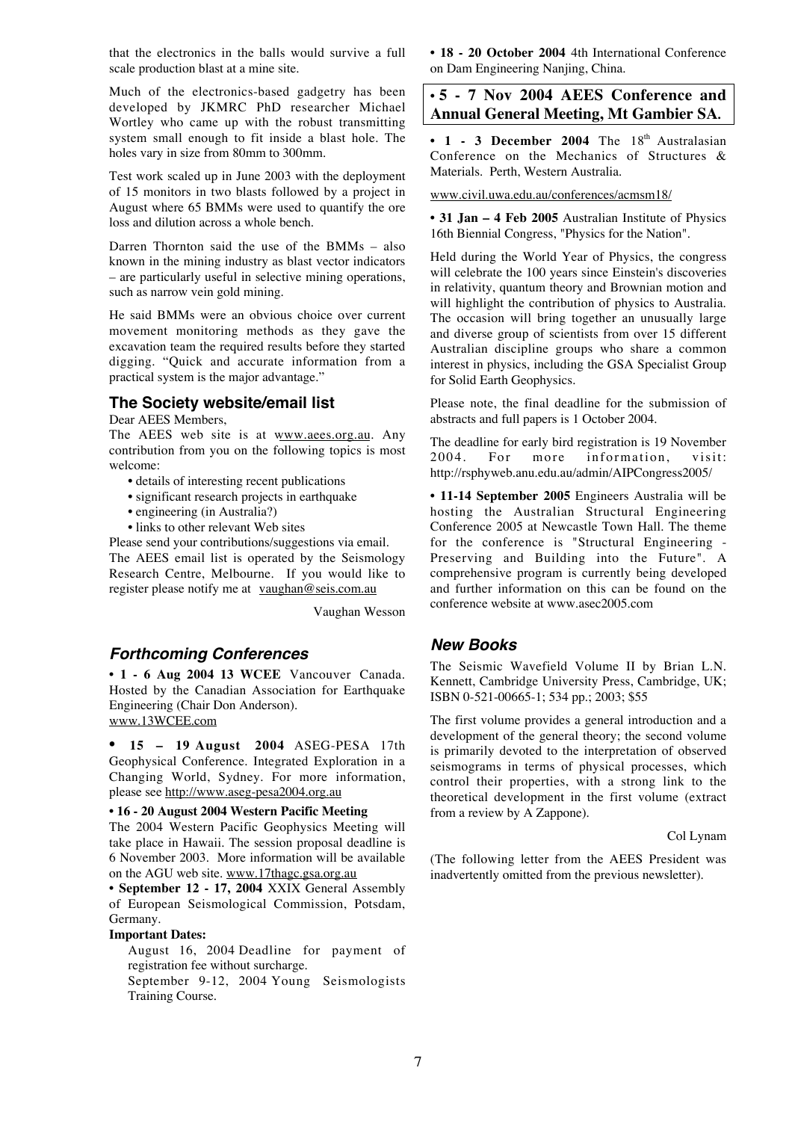that the electronics in the balls would survive a full scale production blast at a mine site.

Much of the electronics-based gadgetry has been developed by JKMRC PhD researcher Michael Wortley who came up with the robust transmitting system small enough to fit inside a blast hole. The holes vary in size from 80mm to 300mm.

Test work scaled up in June 2003 with the deployment of 15 monitors in two blasts followed by a project in August where 65 BMMs were used to quantify the ore loss and dilution across a whole bench.

Darren Thornton said the use of the BMMs – also known in the mining industry as blast vector indicators – are particularly useful in selective mining operations, such as narrow vein gold mining.

He said BMMs were an obvious choice over current movement monitoring methods as they gave the excavation team the required results before they started digging. "Quick and accurate information from a practical system is the major advantage."

### **The Society website/email list**

Dear AEES Members,

The AEES web site is at www.aees.org.au. Any contribution from you on the following topics is most welcome:

- details of interesting recent publications
- significant research projects in earthquake
- engineering (in Australia?)
- links to other relevant Web sites

Please send your contributions/suggestions via email. The AEES email list is operated by the Seismology Research Centre, Melbourne. If you would like to register please notify me at vaughan@seis.com.au

Vaughan Wesson

#### **Forthcoming Conferences**

**• 1 - 6 Aug 2004 13 WCEE** Vancouver Canada. Hosted by the Canadian Association for Earthquake Engineering (Chair Don Anderson). www.13WCEE.com

• **15 – 19 August 2004** ASEG-PESA 17th Geophysical Conference. Integrated Exploration in a Changing World, Sydney. For more information, please see http://www.aseg-pesa2004.org.au

#### **• 16 - 20 August 2004 Western Pacific Meeting**

The 2004 Western Pacific Geophysics Meeting will take place in Hawaii. The session proposal deadline is 6 November 2003. More information will be available on the AGU web site. www.17thagc.gsa.org.au

**• September 12 - 17, 2004** XXIX General Assembly of European Seismological Commission, Potsdam, Germany.

#### **Important Dates:**

August 16, 2004 Deadline for payment of registration fee without surcharge.

September 9-12, 2004 Young Seismologists Training Course.

**• 18 - 20 October 2004** 4th International Conference on Dam Engineering Nanjing, China.

# **• 5 - 7 Nov 2004 AEES Conference and Annual General Meeting, Mt Gambier SA.**

 $\cdot$  1 - 3 December 2004 The  $18<sup>th</sup>$  Australasian Conference on the Mechanics of Structures & Materials.Perth, Western Australia.

www.civil.uwa.edu.au/conferences/acmsm18/

**• 31 Jan – 4 Feb 2005** Australian Institute of Physics 16th Biennial Congress, "Physics for the Nation".

Held during the World Year of Physics, the congress will celebrate the 100 years since Einstein's discoveries in relativity, quantum theory and Brownian motion and will highlight the contribution of physics to Australia. The occasion will bring together an unusually large and diverse group of scientists from over 15 different Australian discipline groups who share a common interest in physics, including the GSA Specialist Group for Solid Earth Geophysics.

Please note, the final deadline for the submission of abstracts and full papers is 1 October 2004.

The deadline for early bird registration is 19 November 2004. For more information, visit: http://rsphyweb.anu.edu.au/admin/AIPCongress2005/

**• 11-14 September 2005** Engineers Australia will be hosting the Australian Structural Engineering Conference 2005 at Newcastle Town Hall. The theme for the conference is "Structural Engineering - Preserving and Building into the Future". A comprehensive program is currently being developed and further information on this can be found on the conference website at www.asec2005.com

#### **New Books**

The Seismic Wavefield Volume II by Brian L.N. Kennett, Cambridge University Press, Cambridge, UK; ISBN 0-521-00665-1; 534 pp.; 2003; \$55

The first volume provides a general introduction and a development of the general theory; the second volume is primarily devoted to the interpretation of observed seismograms in terms of physical processes, which control their properties, with a strong link to the theoretical development in the first volume (extract from a review by A Zappone).

#### Col Lynam

(The following letter from the AEES President was inadvertently omitted from the previous newsletter).